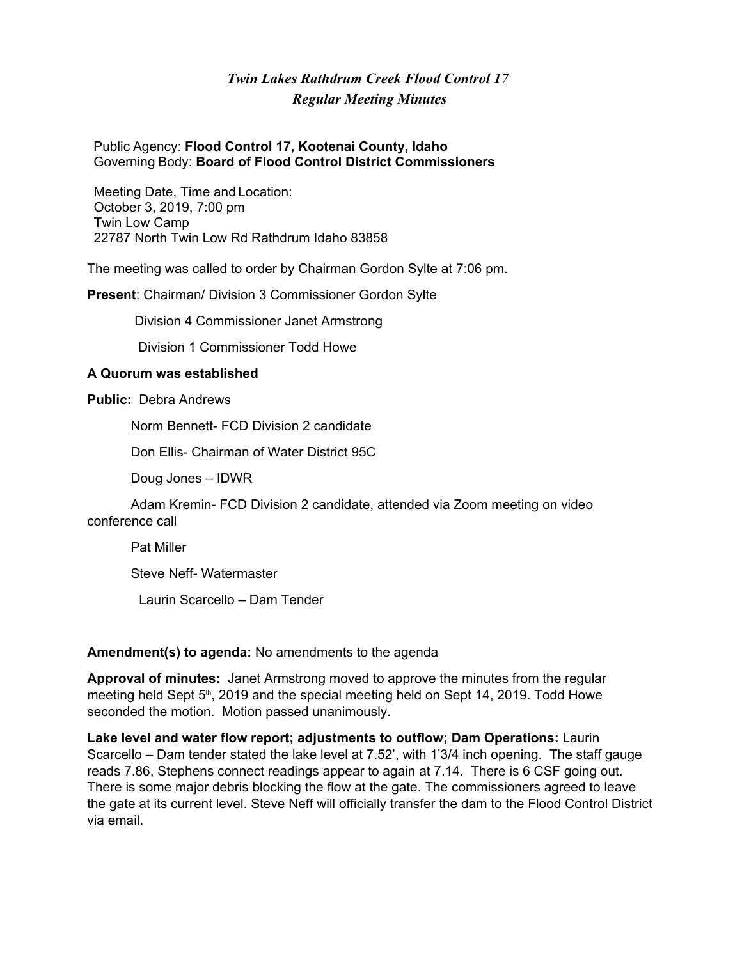# *Twin Lakes Rathdrum Creek Flood Control 17 Regular Meeting Minutes*

#### Public Agency: **Flood Control 17, Kootenai County, Idaho** Governing Body: **Board of Flood Control District Commissioners**

Meeting Date, Time and Location: October 3, 2019, 7:00 pm Twin Low Camp 22787 North Twin Low Rd Rathdrum Idaho 83858

The meeting was called to order by Chairman Gordon Sylte at 7:06 pm.

**Present**: Chairman/ Division 3 Commissioner Gordon Sylte

Division 4 Commissioner Janet Armstrong

Division 1 Commissioner Todd Howe

#### **A Quorum was established**

**Public:** Debra Andrews

Norm Bennett- FCD Division 2 candidate

Don Ellis- Chairman of Water District 95C

Doug Jones – IDWR

Adam Kremin- FCD Division 2 candidate, attended via Zoom meeting on video conference call

Pat Miller

Steve Neff- Watermaster

Laurin Scarcello – Dam Tender

#### **Amendment(s) to agenda:** No amendments to the agenda

**Approval of minutes:** Janet Armstrong moved to approve the minutes from the regular meeting held Sept 5<sup>th</sup>, 2019 and the special meeting held on Sept 14, 2019. Todd Howe seconded the motion. Motion passed unanimously.

**Lake level and water flow report; adjustments to outflow; Dam Operations:** Laurin Scarcello – Dam tender stated the lake level at 7.52', with 1'3/4 inch opening. The staff gauge reads 7.86, Stephens connect readings appear to again at 7.14. There is 6 CSF going out. There is some major debris blocking the flow at the gate. The commissioners agreed to leave the gate at its current level. Steve Neff will officially transfer the dam to the Flood Control District via email.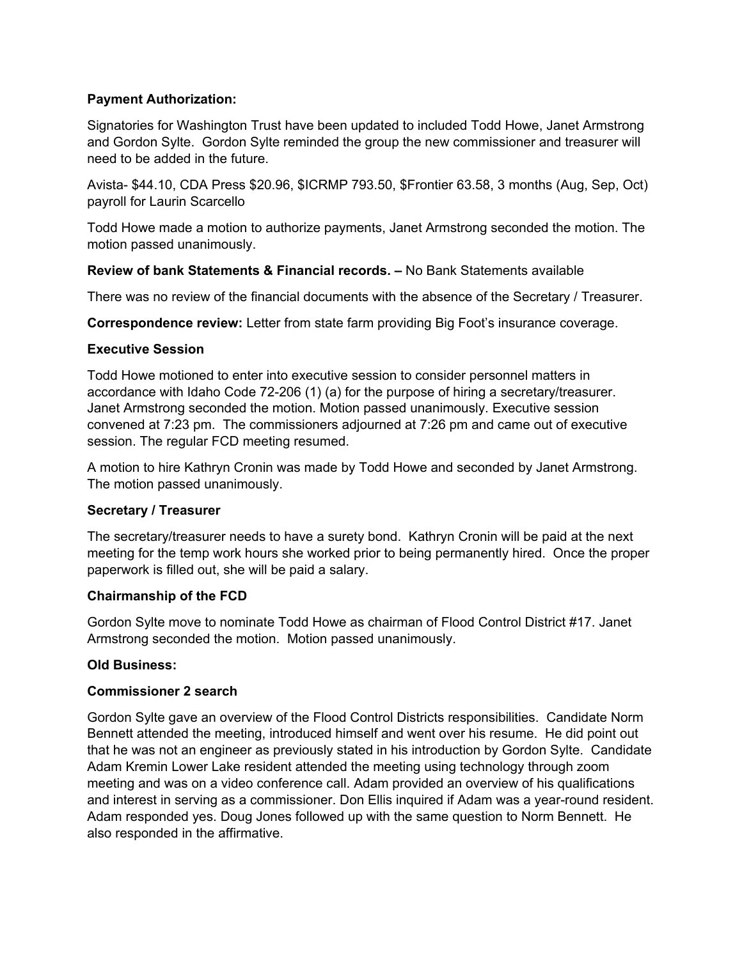# **Payment Authorization:**

Signatories for Washington Trust have been updated to included Todd Howe, Janet Armstrong and Gordon Sylte. Gordon Sylte reminded the group the new commissioner and treasurer will need to be added in the future.

Avista- \$44.10, CDA Press \$20.96, \$ICRMP 793.50, \$Frontier 63.58, 3 months (Aug, Sep, Oct) payroll for Laurin Scarcello

Todd Howe made a motion to authorize payments, Janet Armstrong seconded the motion. The motion passed unanimously.

#### **Review of bank Statements & Financial records. –** No Bank Statements available

There was no review of the financial documents with the absence of the Secretary / Treasurer.

**Correspondence review:** Letter from state farm providing Big Foot's insurance coverage.

# **Executive Session**

Todd Howe motioned to enter into executive session to consider personnel matters in accordance with Idaho Code 72-206 (1) (a) for the purpose of hiring a secretary/treasurer. Janet Armstrong seconded the motion. Motion passed unanimously. Executive session convened at 7:23 pm. The commissioners adjourned at 7:26 pm and came out of executive session. The regular FCD meeting resumed.

A motion to hire Kathryn Cronin was made by Todd Howe and seconded by Janet Armstrong. The motion passed unanimously.

# **Secretary / Treasurer**

The secretary/treasurer needs to have a surety bond. Kathryn Cronin will be paid at the next meeting for the temp work hours she worked prior to being permanently hired. Once the proper paperwork is filled out, she will be paid a salary.

#### **Chairmanship of the FCD**

Gordon Sylte move to nominate Todd Howe as chairman of Flood Control District #17. Janet Armstrong seconded the motion. Motion passed unanimously.

# **Old Business:**

#### **Commissioner 2 search**

Gordon Sylte gave an overview of the Flood Control Districts responsibilities. Candidate Norm Bennett attended the meeting, introduced himself and went over his resume. He did point out that he was not an engineer as previously stated in his introduction by Gordon Sylte. Candidate Adam Kremin Lower Lake resident attended the meeting using technology through zoom meeting and was on a video conference call. Adam provided an overview of his qualifications and interest in serving as a commissioner. Don Ellis inquired if Adam was a year-round resident. Adam responded yes. Doug Jones followed up with the same question to Norm Bennett. He also responded in the affirmative.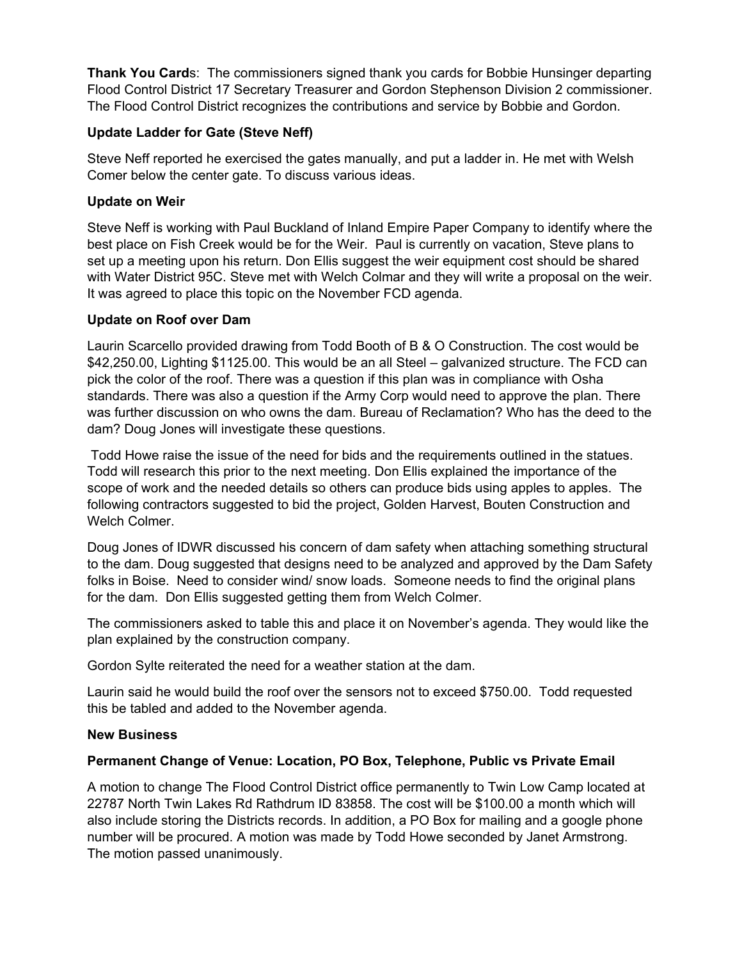**Thank You Card**s: The commissioners signed thank you cards for Bobbie Hunsinger departing Flood Control District 17 Secretary Treasurer and Gordon Stephenson Division 2 commissioner. The Flood Control District recognizes the contributions and service by Bobbie and Gordon.

# **Update Ladder for Gate (Steve Neff)**

Steve Neff reported he exercised the gates manually, and put a ladder in. He met with Welsh Comer below the center gate. To discuss various ideas.

### **Update on Weir**

Steve Neff is working with Paul Buckland of Inland Empire Paper Company to identify where the best place on Fish Creek would be for the Weir. Paul is currently on vacation, Steve plans to set up a meeting upon his return. Don Ellis suggest the weir equipment cost should be shared with Water District 95C. Steve met with Welch Colmar and they will write a proposal on the weir. It was agreed to place this topic on the November FCD agenda.

# **Update on Roof over Dam**

Laurin Scarcello provided drawing from Todd Booth of B & O Construction. The cost would be \$42,250.00, Lighting \$1125.00. This would be an all Steel – galvanized structure. The FCD can pick the color of the roof. There was a question if this plan was in compliance with Osha standards. There was also a question if the Army Corp would need to approve the plan. There was further discussion on who owns the dam. Bureau of Reclamation? Who has the deed to the dam? Doug Jones will investigate these questions.

 Todd Howe raise the issue of the need for bids and the requirements outlined in the statues. Todd will research this prior to the next meeting. Don Ellis explained the importance of the scope of work and the needed details so others can produce bids using apples to apples. The following contractors suggested to bid the project, Golden Harvest, Bouten Construction and Welch Colmer.

Doug Jones of IDWR discussed his concern of dam safety when attaching something structural to the dam. Doug suggested that designs need to be analyzed and approved by the Dam Safety folks in Boise. Need to consider wind/ snow loads. Someone needs to find the original plans for the dam. Don Ellis suggested getting them from Welch Colmer.

The commissioners asked to table this and place it on November's agenda. They would like the plan explained by the construction company.

Gordon Sylte reiterated the need for a weather station at the dam.

Laurin said he would build the roof over the sensors not to exceed \$750.00. Todd requested this be tabled and added to the November agenda.

#### **New Business**

# **Permanent Change of Venue: Location, PO Box, Telephone, Public vs Private Email**

A motion to change The Flood Control District office permanently to Twin Low Camp located at 22787 North Twin Lakes Rd Rathdrum ID 83858. The cost will be \$100.00 a month which will also include storing the Districts records. In addition, a PO Box for mailing and a google phone number will be procured. A motion was made by Todd Howe seconded by Janet Armstrong. The motion passed unanimously.